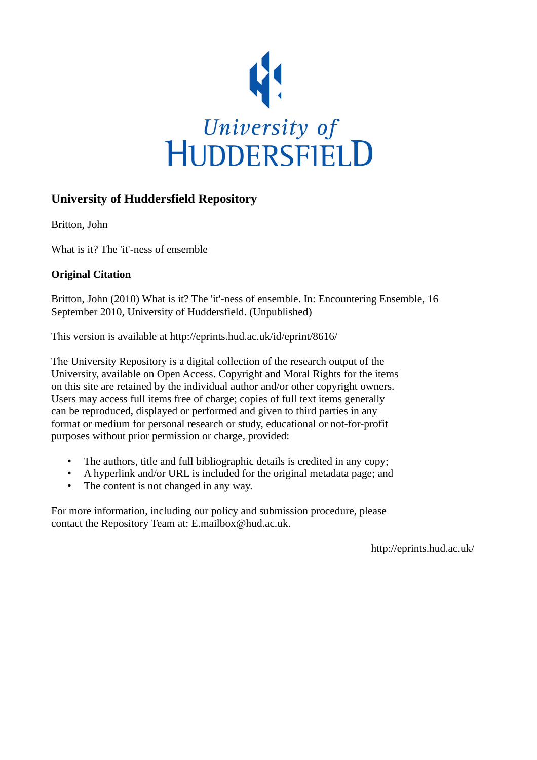

#### **University of Huddersfield Repository**

Britton, John

What is it? The 'it'-ness of ensemble

#### **Original Citation**

Britton, John (2010) What is it? The 'it'-ness of ensemble. In: Encountering Ensemble, 16 September 2010, University of Huddersfield. (Unpublished)

This version is available at http://eprints.hud.ac.uk/id/eprint/8616/

The University Repository is a digital collection of the research output of the University, available on Open Access. Copyright and Moral Rights for the items on this site are retained by the individual author and/or other copyright owners. Users may access full items free of charge; copies of full text items generally can be reproduced, displayed or performed and given to third parties in any format or medium for personal research or study, educational or not-for-profit purposes without prior permission or charge, provided:

- The authors, title and full bibliographic details is credited in any copy;
- A hyperlink and/or URL is included for the original metadata page; and
- The content is not changed in any way.

For more information, including our policy and submission procedure, please contact the Repository Team at: E.mailbox@hud.ac.uk.

http://eprints.hud.ac.uk/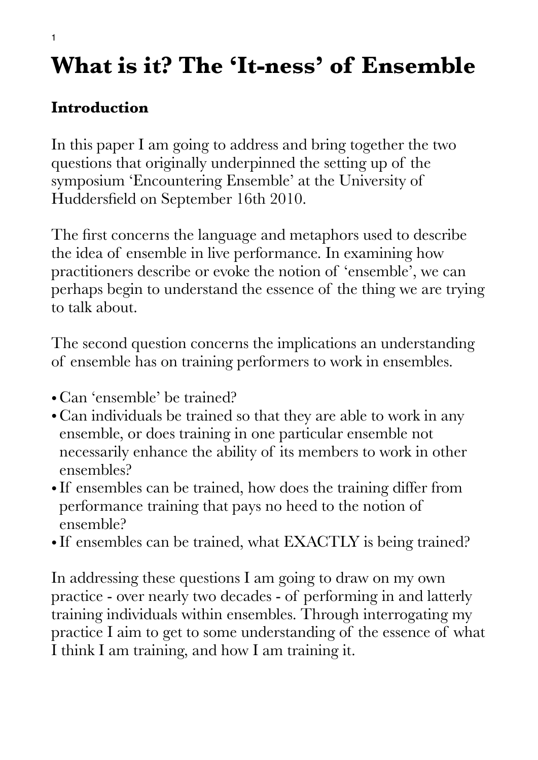# **What is it? The 'It-ness' of Ensemble**

## **Introduction**

In this paper I am going to address and bring together the two questions that originally underpinned the setting up of the symposium 'Encountering Ensemble' at the University of Huddersfield on September 16th 2010.

The first concerns the language and metaphors used to describe the idea of ensemble in live performance. In examining how practitioners describe or evoke the notion of 'ensemble', we can perhaps begin to understand the essence of the thing we are trying to talk about.

The second question concerns the implications an understanding of ensemble has on training performers to work in ensembles.

- Can 'ensemble' be trained?
- Can individuals be trained so that they are able to work in any ensemble, or does training in one particular ensemble not necessarily enhance the ability of its members to work in other ensembles?
- If ensembles can be trained, how does the training differ from performance training that pays no heed to the notion of ensemble?
- If ensembles can be trained, what EXACTLY is being trained?

In addressing these questions I am going to draw on my own practice - over nearly two decades - of performing in and latterly training individuals within ensembles. Through interrogating my practice I aim to get to some understanding of the essence of what I think I am training, and how I am training it.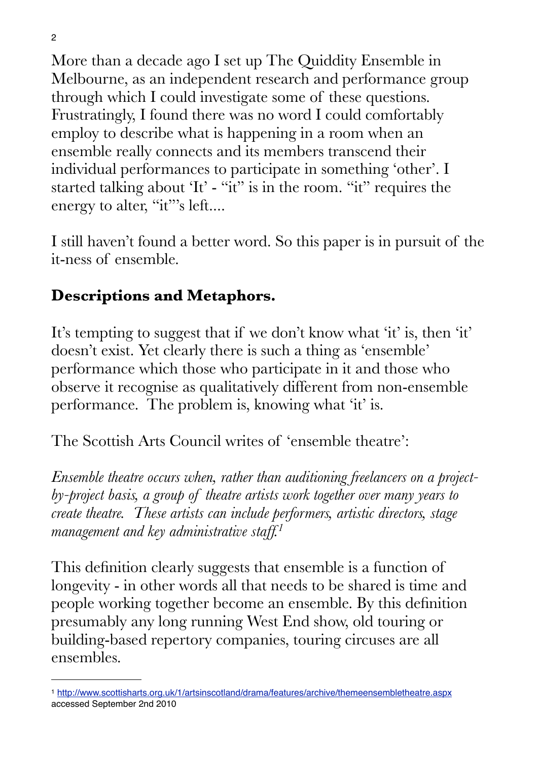More than a decade ago I set up The Quiddity Ensemble in Melbourne, as an independent research and performance group through which I could investigate some of these questions. Frustratingly, I found there was no word I could comfortably employ to describe what is happening in a room when an ensemble really connects and its members transcend their individual performances to participate in something 'other'. I started talking about 'It' - "it" is in the room. "it" requires the energy to alter, "it"'s left....

I still haven't found a better word. So this paper is in pursuit of the it-ness of ensemble.

### **Descriptions and Metaphors.**

It's tempting to suggest that if we don't know what 'it' is, then 'it' doesn't exist. Yet clearly there is such a thing as 'ensemble' performance which those who participate in it and those who observe it recognise as qualitatively different from non-ensemble performance. The problem is, knowing what 'it' is.

The Scottish Arts Council writes of 'ensemble theatre':

*Ensemble theatre occurs when, rather than auditioning freelancers on a projectby-project basis, a group of theatre artists work together over many years to create theatre. These artists can include performers, artistic directors, stage management and key administrative staff.[1](#page-2-0)*

This definition clearly suggests that ensemble is a function of longevity - in other words all that needs to be shared is time and people working together become an ensemble. By this definition presumably any long running West End show, old touring or building-based repertory companies, touring circuses are all ensembles.

<span id="page-2-0"></span><sup>1</sup> <http://www.scottisharts.org.uk/1/artsinscotland/drama/features/archive/themeensembletheatre.aspx> accessed September 2nd 2010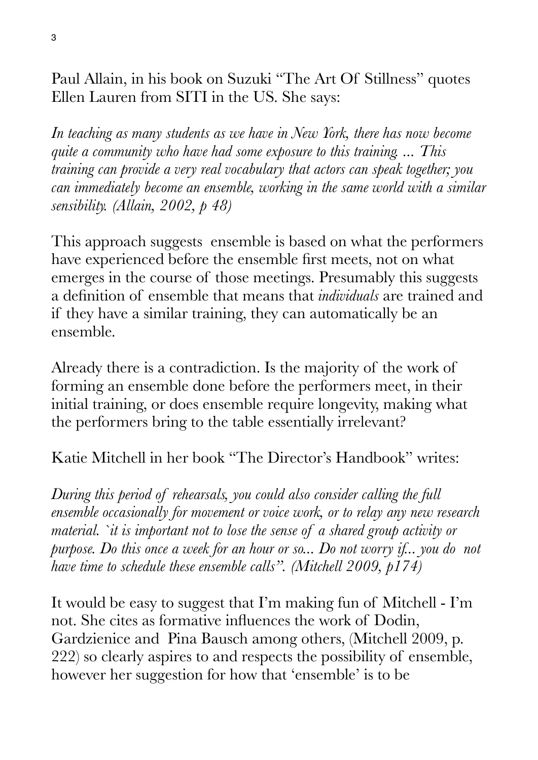Paul Allain, in his book on Suzuki "The Art Of Stillness" quotes Ellen Lauren from SITI in the US. She says:

*In teaching as many students as we have in New York, there has now become quite a community who have had some exposure to this training. ... This training can provide a very real vocabulary that actors can speak together; you can immediately become an ensemble, working in the same world with a similar sensibility. (Allain, 2002, p 48)*

This approach suggests ensemble is based on what the performers have experienced before the ensemble first meets, not on what emerges in the course of those meetings. Presumably this suggests a definition of ensemble that means that *individuals* are trained and if they have a similar training, they can automatically be an ensemble.

Already there is a contradiction. Is the majority of the work of forming an ensemble done before the performers meet, in their initial training, or does ensemble require longevity, making what the performers bring to the table essentially irrelevant?

Katie Mitchell in her book "The Director's Handbook" writes:

*During this period of rehearsals, you could also consider calling the full ensemble occasionally for movement or voice work, or to relay any new research material. `it is important not to lose the sense of a shared group activity or purpose. Do this once a week for an hour or so... Do not worry if... you do not have time to schedule these ensemble calls". (Mitchell 2009, p174)*

It would be easy to suggest that I'm making fun of Mitchell - I'm not. She cites as formative influences the work of Dodin, Gardzienice and Pina Bausch among others, (Mitchell 2009, p. 222) so clearly aspires to and respects the possibility of ensemble, however her suggestion for how that 'ensemble' is to be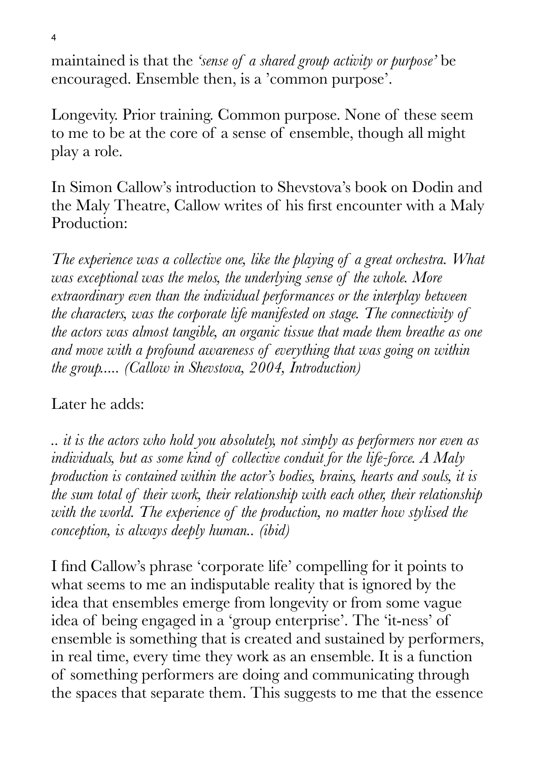maintained is that the *'sense of a shared group activity or purpose'* be encouraged. Ensemble then, is a 'common purpose'.

Longevity. Prior training. Common purpose. None of these seem to me to be at the core of a sense of ensemble, though all might play a role.

In Simon Callow's introduction to Shevstova's book on Dodin and the Maly Theatre, Callow writes of his first encounter with a Maly Production:

*The experience was a collective one, like the playing of a great orchestra. What was exceptional was the melos, the underlying sense of the whole. More extraordinary even than the individual performances or the interplay between the characters, was the corporate life manifested on stage. The connectivity of the actors was almost tangible, an organic tissue that made them breathe as one and move with a profound awareness of everything that was going on within the group..... (Callow in Shevstova, 2004, Introduction)* 

#### Later he adds:

*.. it is the actors who hold you absolutely, not simply as performers nor even as individuals, but as some kind of collective conduit for the life-force. A Maly production is contained within the actor's bodies, brains, hearts and souls, it is the sum total of their work, their relationship with each other, their relationship with the world. The experience of the production, no matter how stylised the conception, is always deeply human.. (ibid)*

I find Callow's phrase 'corporate life' compelling for it points to what seems to me an indisputable reality that is ignored by the idea that ensembles emerge from longevity or from some vague idea of being engaged in a 'group enterprise'. The 'it-ness' of ensemble is something that is created and sustained by performers, in real time, every time they work as an ensemble. It is a function of something performers are doing and communicating through the spaces that separate them. This suggests to me that the essence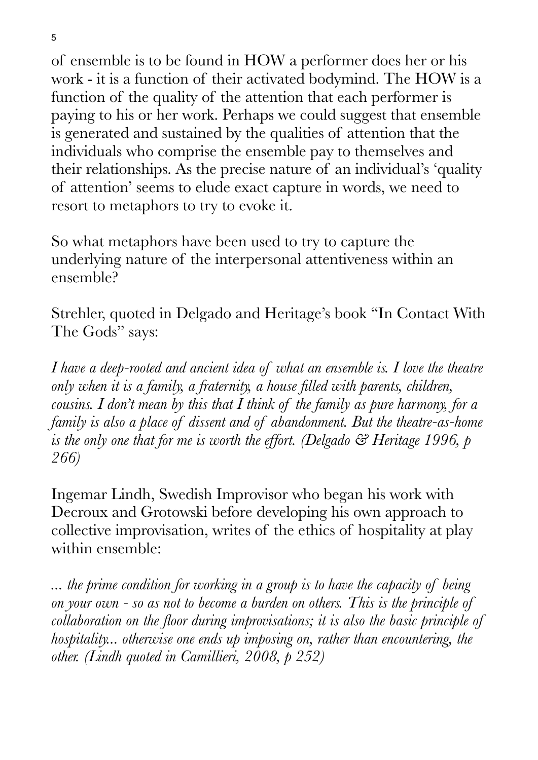of ensemble is to be found in HOW a performer does her or his work - it is a function of their activated bodymind. The HOW is a function of the quality of the attention that each performer is paying to his or her work. Perhaps we could suggest that ensemble is generated and sustained by the qualities of attention that the individuals who comprise the ensemble pay to themselves and their relationships. As the precise nature of an individual's 'quality of attention' seems to elude exact capture in words, we need to resort to metaphors to try to evoke it.

So what metaphors have been used to try to capture the underlying nature of the interpersonal attentiveness within an ensemble?

Strehler, quoted in Delgado and Heritage's book "In Contact With The Gods" says:

*I have a deep-rooted and ancient idea of what an ensemble is. I love the theatre only when it is a family, a fraternity, a house filled with parents, children, cousins. I don't mean by this that I think of the family as pure harmony, for a family is also a place of dissent and of abandonment. But the theatre-as-home is the only one that for me is worth the effort. (Delgado & Heritage 1996, p 266)*

Ingemar Lindh, Swedish Improvisor who began his work with Decroux and Grotowski before developing his own approach to collective improvisation, writes of the ethics of hospitality at play within ensemble:

*... the prime condition for working in a group is to have the capacity of being on your own - so as not to become a burden on others. This is the principle of collaboration on the floor during improvisations; it is also the basic principle of hospitality... otherwise one ends up imposing on, rather than encountering, the other. (Lindh quoted in Camillieri, 2008, p 252)*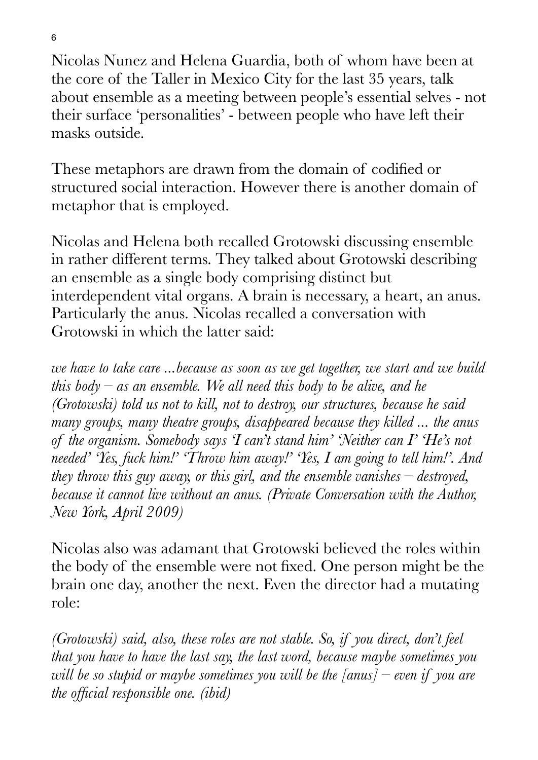Nicolas Nunez and Helena Guardia, both of whom have been at the core of the Taller in Mexico City for the last 35 years, talk about ensemble as a meeting between people's essential selves - not their surface 'personalities' - between people who have left their masks outside.

These metaphors are drawn from the domain of codified or structured social interaction. However there is another domain of metaphor that is employed.

Nicolas and Helena both recalled Grotowski discussing ensemble in rather different terms. They talked about Grotowski describing an ensemble as a single body comprising distinct but interdependent vital organs. A brain is necessary, a heart, an anus. Particularly the anus. Nicolas recalled a conversation with Grotowski in which the latter said:

*we have to take care ...because as soon as we get together, we start and we build this body – as an ensemble. We all need this body to be alive, and he (Grotowski) told us not to kill, not to destroy, our structures, because he said many groups, many theatre groups, disappeared because they killed ... the anus of the organism. Somebody says 'I can't stand him' 'Neither can I' 'He's not needed' 'Yes, fuck him!' 'Throw him away!' 'Yes, I am going to tell him!'. And they throw this guy away, or this girl, and the ensemble vanishes – destroyed, because it cannot live without an anus. (Private Conversation with the Author, New York, April 2009)*

Nicolas also was adamant that Grotowski believed the roles within the body of the ensemble were not fixed. One person might be the brain one day, another the next. Even the director had a mutating role:

*(Grotowski) said, also, these roles are not stable. So, if you direct, don't feel that you have to have the last say, the last word, because maybe sometimes you will be so stupid or maybe sometimes you will be the [anus] – even if you are the official responsible one. (ibid)*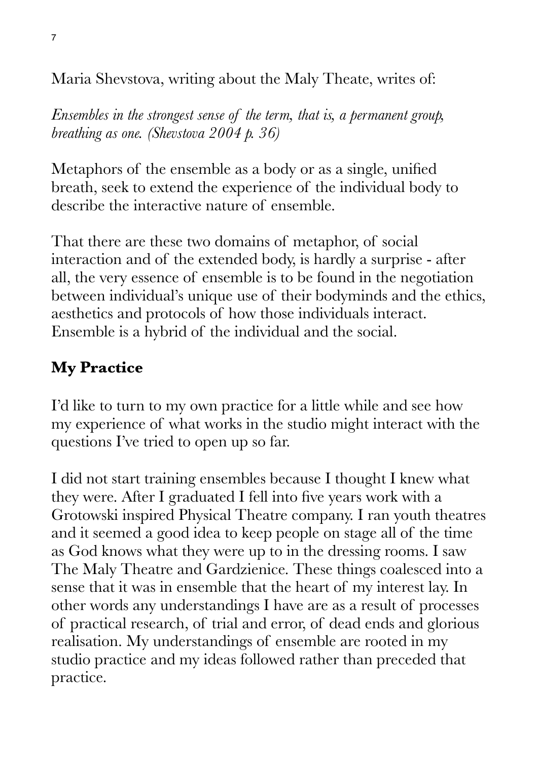Maria Shevstova, writing about the Maly Theate, writes of:

*Ensembles in the strongest sense of the term, that is, a permanent group, breathing as one. (Shevstova 2004 p. 36)*

Metaphors of the ensemble as a body or as a single, unified breath, seek to extend the experience of the individual body to describe the interactive nature of ensemble.

That there are these two domains of metaphor, of social interaction and of the extended body, is hardly a surprise - after all, the very essence of ensemble is to be found in the negotiation between individual's unique use of their bodyminds and the ethics, aesthetics and protocols of how those individuals interact. Ensemble is a hybrid of the individual and the social.

#### **My Practice**

I'd like to turn to my own practice for a little while and see how my experience of what works in the studio might interact with the questions I've tried to open up so far.

I did not start training ensembles because I thought I knew what they were. After I graduated I fell into five years work with a Grotowski inspired Physical Theatre company. I ran youth theatres and it seemed a good idea to keep people on stage all of the time as God knows what they were up to in the dressing rooms. I saw The Maly Theatre and Gardzienice. These things coalesced into a sense that it was in ensemble that the heart of my interest lay. In other words any understandings I have are as a result of processes of practical research, of trial and error, of dead ends and glorious realisation. My understandings of ensemble are rooted in my studio practice and my ideas followed rather than preceded that practice.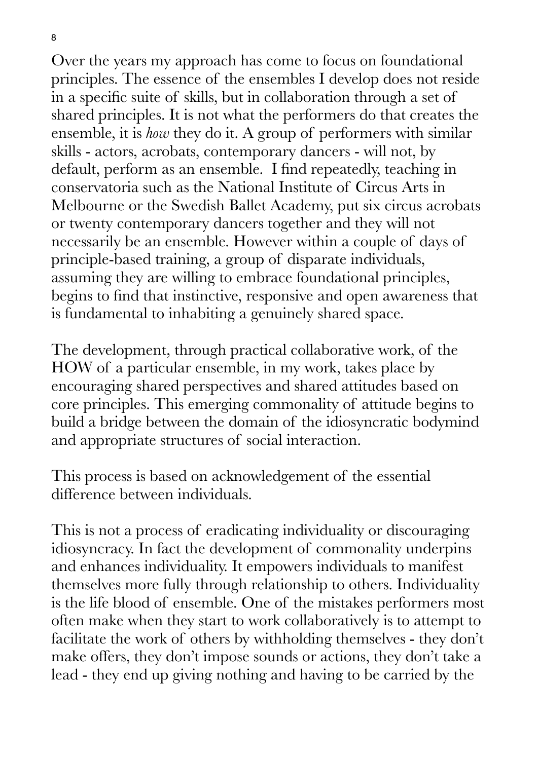8

Over the years my approach has come to focus on foundational principles. The essence of the ensembles I develop does not reside in a specific suite of skills, but in collaboration through a set of shared principles. It is not what the performers do that creates the ensemble, it is *how* they do it. A group of performers with similar skills - actors, acrobats, contemporary dancers - will not, by default, perform as an ensemble. I find repeatedly, teaching in conservatoria such as the National Institute of Circus Arts in Melbourne or the Swedish Ballet Academy, put six circus acrobats or twenty contemporary dancers together and they will not necessarily be an ensemble. However within a couple of days of principle-based training, a group of disparate individuals, assuming they are willing to embrace foundational principles, begins to find that instinctive, responsive and open awareness that is fundamental to inhabiting a genuinely shared space.

The development, through practical collaborative work, of the HOW of a particular ensemble, in my work, takes place by encouraging shared perspectives and shared attitudes based on core principles. This emerging commonality of attitude begins to build a bridge between the domain of the idiosyncratic bodymind and appropriate structures of social interaction.

This process is based on acknowledgement of the essential difference between individuals.

This is not a process of eradicating individuality or discouraging idiosyncracy. In fact the development of commonality underpins and enhances individuality. It empowers individuals to manifest themselves more fully through relationship to others. Individuality is the life blood of ensemble. One of the mistakes performers most often make when they start to work collaboratively is to attempt to facilitate the work of others by withholding themselves - they don't make offers, they don't impose sounds or actions, they don't take a lead - they end up giving nothing and having to be carried by the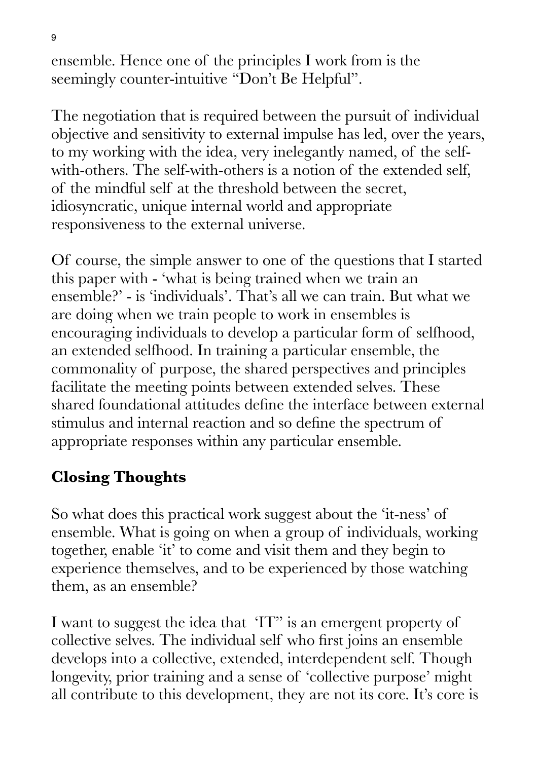ensemble. Hence one of the principles I work from is the seemingly counter-intuitive "Don't Be Helpful".

The negotiation that is required between the pursuit of individual objective and sensitivity to external impulse has led, over the years, to my working with the idea, very inelegantly named, of the selfwith-others. The self-with-others is a notion of the extended self, of the mindful self at the threshold between the secret, idiosyncratic, unique internal world and appropriate responsiveness to the external universe.

Of course, the simple answer to one of the questions that I started this paper with - 'what is being trained when we train an ensemble?' - is 'individuals'. That's all we can train. But what we are doing when we train people to work in ensembles is encouraging individuals to develop a particular form of selfhood, an extended selfhood. In training a particular ensemble, the commonality of purpose, the shared perspectives and principles facilitate the meeting points between extended selves. These shared foundational attitudes define the interface between external stimulus and internal reaction and so define the spectrum of appropriate responses within any particular ensemble.

## **Closing Thoughts**

So what does this practical work suggest about the 'it-ness' of ensemble. What is going on when a group of individuals, working together, enable 'it' to come and visit them and they begin to experience themselves, and to be experienced by those watching them, as an ensemble?

I want to suggest the idea that 'IT" is an emergent property of collective selves. The individual self who first joins an ensemble develops into a collective, extended, interdependent self. Though longevity, prior training and a sense of 'collective purpose' might all contribute to this development, they are not its core. It's core is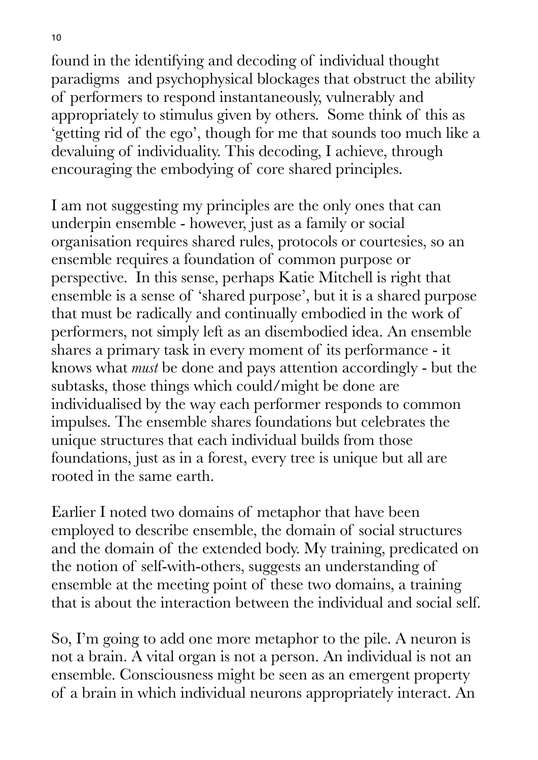found in the identifying and decoding of individual thought paradigms and psychophysical blockages that obstruct the ability of performers to respond instantaneously, vulnerably and appropriately to stimulus given by others. Some think of this as 'getting rid of the ego', though for me that sounds too much like a devaluing of individuality. This decoding, I achieve, through encouraging the embodying of core shared principles.

I am not suggesting my principles are the only ones that can underpin ensemble - however, just as a family or social organisation requires shared rules, protocols or courtesies, so an ensemble requires a foundation of common purpose or perspective. In this sense, perhaps Katie Mitchell is right that ensemble is a sense of 'shared purpose', but it is a shared purpose that must be radically and continually embodied in the work of performers, not simply left as an disembodied idea. An ensemble shares a primary task in every moment of its performance - it knows what *must* be done and pays attention accordingly - but the subtasks, those things which could/might be done are individualised by the way each performer responds to common impulses. The ensemble shares foundations but celebrates the unique structures that each individual builds from those foundations, just as in a forest, every tree is unique but all are rooted in the same earth.

Earlier I noted two domains of metaphor that have been employed to describe ensemble, the domain of social structures and the domain of the extended body. My training, predicated on the notion of self-with-others, suggests an understanding of ensemble at the meeting point of these two domains, a training that is about the interaction between the individual and social self.

So, I'm going to add one more metaphor to the pile. A neuron is not a brain. A vital organ is not a person. An individual is not an ensemble. Consciousness might be seen as an emergent property of a brain in which individual neurons appropriately interact. An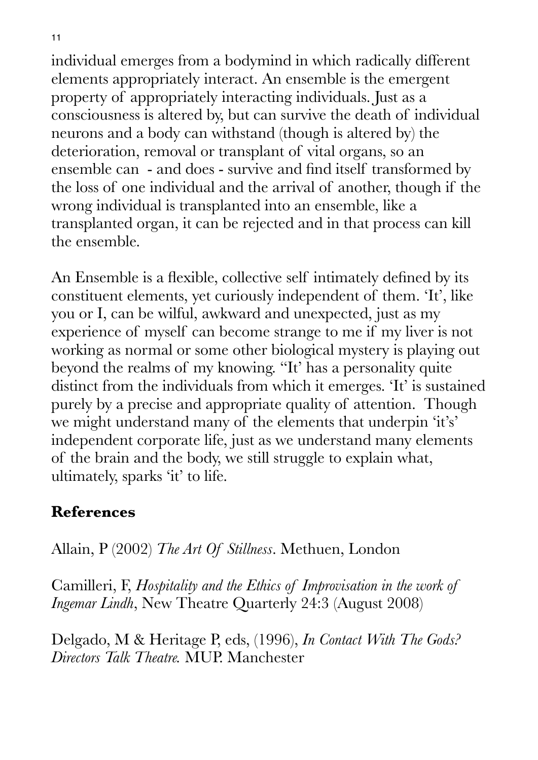individual emerges from a bodymind in which radically different elements appropriately interact. An ensemble is the emergent property of appropriately interacting individuals. Just as a consciousness is altered by, but can survive the death of individual neurons and a body can withstand (though is altered by) the deterioration, removal or transplant of vital organs, so an ensemble can - and does - survive and find itself transformed by the loss of one individual and the arrival of another, though if the wrong individual is transplanted into an ensemble, like a transplanted organ, it can be rejected and in that process can kill the ensemble.

An Ensemble is a flexible, collective self intimately defined by its constituent elements, yet curiously independent of them. 'It', like you or I, can be wilful, awkward and unexpected, just as my experience of myself can become strange to me if my liver is not working as normal or some other biological mystery is playing out beyond the realms of my knowing. "It' has a personality quite distinct from the individuals from which it emerges. 'It' is sustained purely by a precise and appropriate quality of attention. Though we might understand many of the elements that underpin 'it's' independent corporate life, just as we understand many elements of the brain and the body, we still struggle to explain what, ultimately, sparks 'it' to life.

#### **References**

Allain, P (2002) *The Art Of Stillness*. Methuen, London

Camilleri, F, *Hospitality and the Ethics of Improvisation in the work of Ingemar Lindh*, New Theatre Quarterly 24:3 (August 2008)

Delgado, M & Heritage P, eds, (1996), *In Contact With The Gods? Directors Talk Theatre.* MUP. Manchester